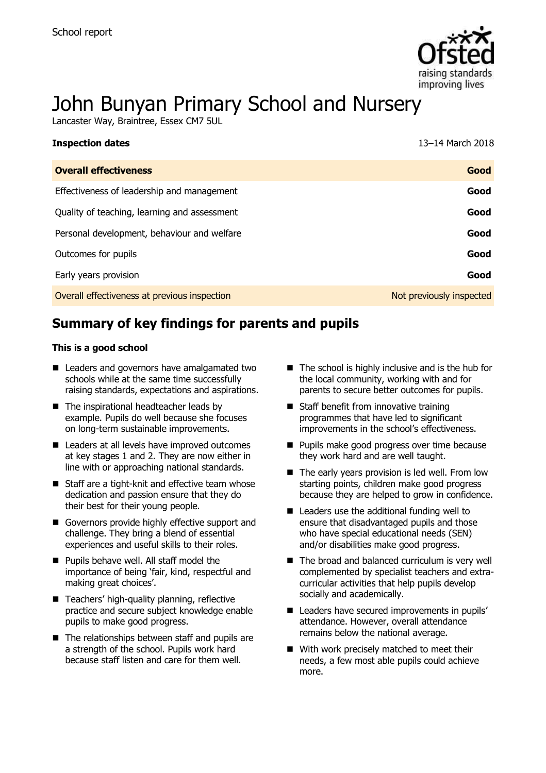

# John Bunyan Primary School and Nursery

Lancaster Way, Braintree, Essex CM7 5UL

| <b>Inspection dates</b>                      | 13–14 March 2018         |
|----------------------------------------------|--------------------------|
| <b>Overall effectiveness</b>                 | Good                     |
| Effectiveness of leadership and management   | Good                     |
| Quality of teaching, learning and assessment | Good                     |
| Personal development, behaviour and welfare  | Good                     |
| Outcomes for pupils                          | Good                     |
| Early years provision                        | Good                     |
| Overall effectiveness at previous inspection | Not previously inspected |

# **Summary of key findings for parents and pupils**

#### **This is a good school**

- Leaders and governors have amalgamated two schools while at the same time successfully raising standards, expectations and aspirations.
- The inspirational headteacher leads by example. Pupils do well because she focuses on long-term sustainable improvements.
- Leaders at all levels have improved outcomes at key stages 1 and 2. They are now either in line with or approaching national standards.
- Staff are a tight-knit and effective team whose dedication and passion ensure that they do their best for their young people.
- Governors provide highly effective support and challenge. They bring a blend of essential experiences and useful skills to their roles.
- **Pupils behave well. All staff model the** importance of being 'fair, kind, respectful and making great choices'.
- Teachers' high-quality planning, reflective practice and secure subject knowledge enable pupils to make good progress.
- $\blacksquare$  The relationships between staff and pupils are a strength of the school. Pupils work hard because staff listen and care for them well.
- $\blacksquare$  The school is highly inclusive and is the hub for the local community, working with and for parents to secure better outcomes for pupils.
- Staff benefit from innovative training programmes that have led to significant improvements in the school's effectiveness.
- **Pupils make good progress over time because** they work hard and are well taught.
- The early years provision is led well. From low starting points, children make good progress because they are helped to grow in confidence.
- Leaders use the additional funding well to ensure that disadvantaged pupils and those who have special educational needs (SEN) and/or disabilities make good progress.
- The broad and balanced curriculum is very well complemented by specialist teachers and extracurricular activities that help pupils develop socially and academically.
- Leaders have secured improvements in pupils' attendance. However, overall attendance remains below the national average.
- With work precisely matched to meet their needs, a few most able pupils could achieve more.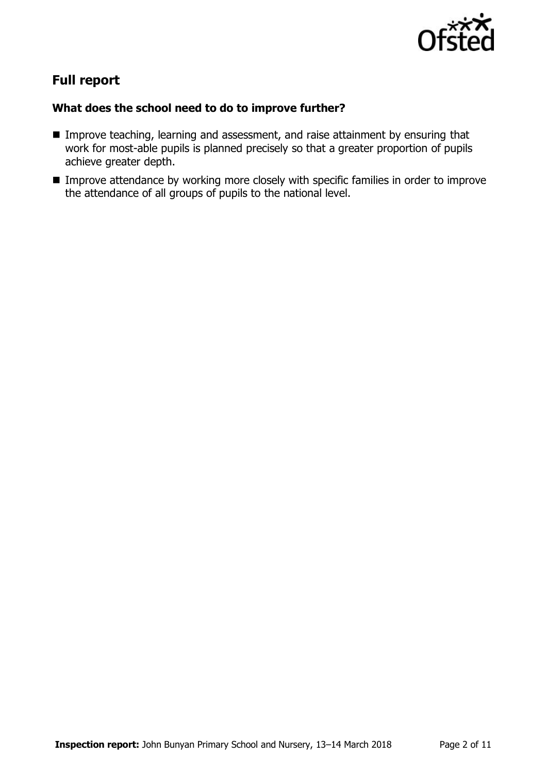

# **Full report**

### **What does the school need to do to improve further?**

- **IMPROVE THEORY INCOCEDED** Improve teaching, learning and assessment, and raise attainment by ensuring that work for most-able pupils is planned precisely so that a greater proportion of pupils achieve greater depth.
- **IMPROVE Attendance by working more closely with specific families in order to improve** the attendance of all groups of pupils to the national level.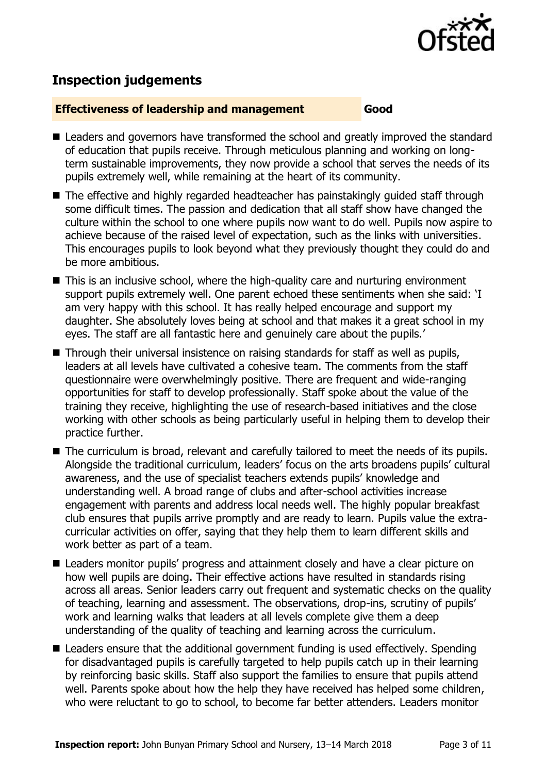

# **Inspection judgements**

#### **Effectiveness of leadership and management Good**

- Leaders and governors have transformed the school and greatly improved the standard of education that pupils receive. Through meticulous planning and working on longterm sustainable improvements, they now provide a school that serves the needs of its pupils extremely well, while remaining at the heart of its community.
- The effective and highly regarded headteacher has painstakingly guided staff through some difficult times. The passion and dedication that all staff show have changed the culture within the school to one where pupils now want to do well. Pupils now aspire to achieve because of the raised level of expectation, such as the links with universities. This encourages pupils to look beyond what they previously thought they could do and be more ambitious.
- This is an inclusive school, where the high-quality care and nurturing environment support pupils extremely well. One parent echoed these sentiments when she said: 'I am very happy with this school. It has really helped encourage and support my daughter. She absolutely loves being at school and that makes it a great school in my eyes. The staff are all fantastic here and genuinely care about the pupils.'
- Through their universal insistence on raising standards for staff as well as pupils, leaders at all levels have cultivated a cohesive team. The comments from the staff questionnaire were overwhelmingly positive. There are frequent and wide-ranging opportunities for staff to develop professionally. Staff spoke about the value of the training they receive, highlighting the use of research-based initiatives and the close working with other schools as being particularly useful in helping them to develop their practice further.
- The curriculum is broad, relevant and carefully tailored to meet the needs of its pupils. Alongside the traditional curriculum, leaders' focus on the arts broadens pupils' cultural awareness, and the use of specialist teachers extends pupils' knowledge and understanding well. A broad range of clubs and after-school activities increase engagement with parents and address local needs well. The highly popular breakfast club ensures that pupils arrive promptly and are ready to learn. Pupils value the extracurricular activities on offer, saying that they help them to learn different skills and work better as part of a team.
- Leaders monitor pupils' progress and attainment closely and have a clear picture on how well pupils are doing. Their effective actions have resulted in standards rising across all areas. Senior leaders carry out frequent and systematic checks on the quality of teaching, learning and assessment. The observations, drop-ins, scrutiny of pupils' work and learning walks that leaders at all levels complete give them a deep understanding of the quality of teaching and learning across the curriculum.
- Leaders ensure that the additional government funding is used effectively. Spending for disadvantaged pupils is carefully targeted to help pupils catch up in their learning by reinforcing basic skills. Staff also support the families to ensure that pupils attend well. Parents spoke about how the help they have received has helped some children, who were reluctant to go to school, to become far better attenders. Leaders monitor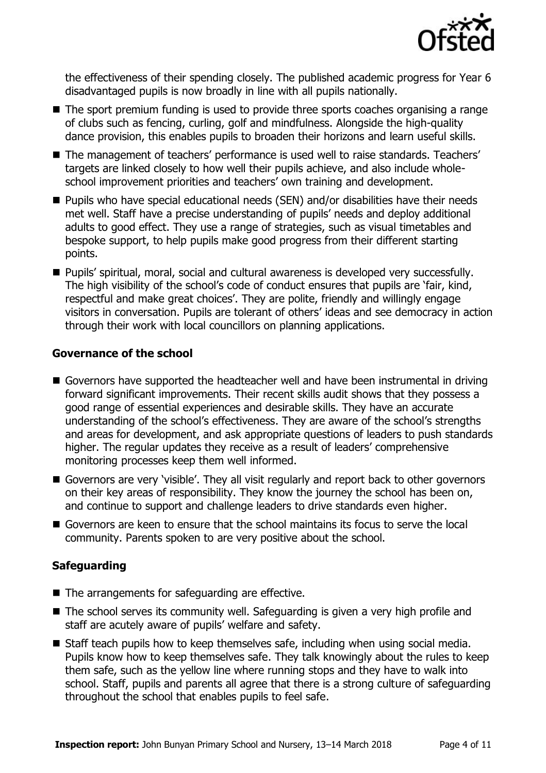

the effectiveness of their spending closely. The published academic progress for Year 6 disadvantaged pupils is now broadly in line with all pupils nationally.

- The sport premium funding is used to provide three sports coaches organising a range of clubs such as fencing, curling, golf and mindfulness. Alongside the high-quality dance provision, this enables pupils to broaden their horizons and learn useful skills.
- The management of teachers' performance is used well to raise standards. Teachers' targets are linked closely to how well their pupils achieve, and also include wholeschool improvement priorities and teachers' own training and development.
- Pupils who have special educational needs (SEN) and/or disabilities have their needs met well. Staff have a precise understanding of pupils' needs and deploy additional adults to good effect. They use a range of strategies, such as visual timetables and bespoke support, to help pupils make good progress from their different starting points.
- **Pupils' spiritual, moral, social and cultural awareness is developed very successfully.** The high visibility of the school's code of conduct ensures that pupils are 'fair, kind, respectful and make great choices'. They are polite, friendly and willingly engage visitors in conversation. Pupils are tolerant of others' ideas and see democracy in action through their work with local councillors on planning applications.

#### **Governance of the school**

- Governors have supported the headteacher well and have been instrumental in driving forward significant improvements. Their recent skills audit shows that they possess a good range of essential experiences and desirable skills. They have an accurate understanding of the school's effectiveness. They are aware of the school's strengths and areas for development, and ask appropriate questions of leaders to push standards higher. The regular updates they receive as a result of leaders' comprehensive monitoring processes keep them well informed.
- Governors are very 'visible'. They all visit regularly and report back to other governors on their key areas of responsibility. They know the journey the school has been on, and continue to support and challenge leaders to drive standards even higher.
- Governors are keen to ensure that the school maintains its focus to serve the local community. Parents spoken to are very positive about the school.

### **Safeguarding**

- The arrangements for safeguarding are effective.
- The school serves its community well. Safeguarding is given a very high profile and staff are acutely aware of pupils' welfare and safety.
- Staff teach pupils how to keep themselves safe, including when using social media. Pupils know how to keep themselves safe. They talk knowingly about the rules to keep them safe, such as the yellow line where running stops and they have to walk into school. Staff, pupils and parents all agree that there is a strong culture of safeguarding throughout the school that enables pupils to feel safe.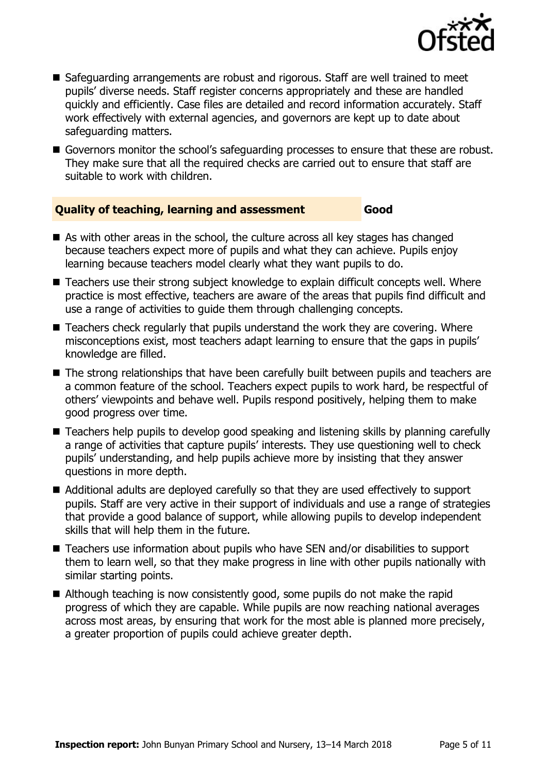

- Safeguarding arrangements are robust and rigorous. Staff are well trained to meet pupils' diverse needs. Staff register concerns appropriately and these are handled quickly and efficiently. Case files are detailed and record information accurately. Staff work effectively with external agencies, and governors are kept up to date about safeguarding matters.
- Governors monitor the school's safeguarding processes to ensure that these are robust. They make sure that all the required checks are carried out to ensure that staff are suitable to work with children.

#### **Quality of teaching, learning and assessment Good**

- As with other areas in the school, the culture across all key stages has changed because teachers expect more of pupils and what they can achieve. Pupils enjoy learning because teachers model clearly what they want pupils to do.
- Teachers use their strong subject knowledge to explain difficult concepts well. Where practice is most effective, teachers are aware of the areas that pupils find difficult and use a range of activities to guide them through challenging concepts.
- Teachers check regularly that pupils understand the work they are covering. Where misconceptions exist, most teachers adapt learning to ensure that the gaps in pupils' knowledge are filled.
- The strong relationships that have been carefully built between pupils and teachers are a common feature of the school. Teachers expect pupils to work hard, be respectful of others' viewpoints and behave well. Pupils respond positively, helping them to make good progress over time.
- Teachers help pupils to develop good speaking and listening skills by planning carefully a range of activities that capture pupils' interests. They use questioning well to check pupils' understanding, and help pupils achieve more by insisting that they answer questions in more depth.
- Additional adults are deployed carefully so that they are used effectively to support pupils. Staff are very active in their support of individuals and use a range of strategies that provide a good balance of support, while allowing pupils to develop independent skills that will help them in the future.
- Teachers use information about pupils who have SEN and/or disabilities to support them to learn well, so that they make progress in line with other pupils nationally with similar starting points.
- Although teaching is now consistently good, some pupils do not make the rapid progress of which they are capable. While pupils are now reaching national averages across most areas, by ensuring that work for the most able is planned more precisely, a greater proportion of pupils could achieve greater depth.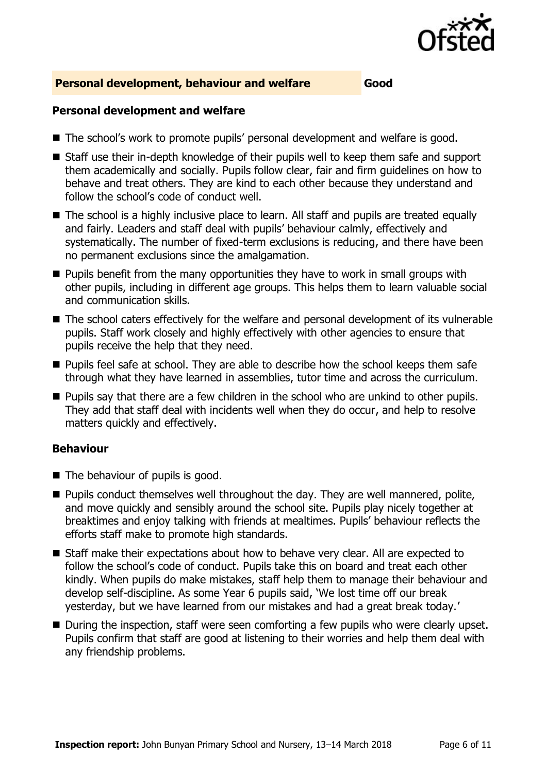

#### **Personal development, behaviour and welfare Good**

#### **Personal development and welfare**

- The school's work to promote pupils' personal development and welfare is good.
- Staff use their in-depth knowledge of their pupils well to keep them safe and support them academically and socially. Pupils follow clear, fair and firm guidelines on how to behave and treat others. They are kind to each other because they understand and follow the school's code of conduct well.
- The school is a highly inclusive place to learn. All staff and pupils are treated equally and fairly. Leaders and staff deal with pupils' behaviour calmly, effectively and systematically. The number of fixed-term exclusions is reducing, and there have been no permanent exclusions since the amalgamation.
- **Pupils benefit from the many opportunities they have to work in small groups with** other pupils, including in different age groups. This helps them to learn valuable social and communication skills.
- The school caters effectively for the welfare and personal development of its vulnerable pupils. Staff work closely and highly effectively with other agencies to ensure that pupils receive the help that they need.
- **Pupils feel safe at school. They are able to describe how the school keeps them safe** through what they have learned in assemblies, tutor time and across the curriculum.
- **Pupils say that there are a few children in the school who are unkind to other pupils.** They add that staff deal with incidents well when they do occur, and help to resolve matters quickly and effectively.

#### **Behaviour**

- The behaviour of pupils is good.
- $\blacksquare$  Pupils conduct themselves well throughout the day. They are well mannered, polite, and move quickly and sensibly around the school site. Pupils play nicely together at breaktimes and enjoy talking with friends at mealtimes. Pupils' behaviour reflects the efforts staff make to promote high standards.
- Staff make their expectations about how to behave very clear. All are expected to follow the school's code of conduct. Pupils take this on board and treat each other kindly. When pupils do make mistakes, staff help them to manage their behaviour and develop self-discipline. As some Year 6 pupils said, 'We lost time off our break yesterday, but we have learned from our mistakes and had a great break today.'
- During the inspection, staff were seen comforting a few pupils who were clearly upset. Pupils confirm that staff are good at listening to their worries and help them deal with any friendship problems.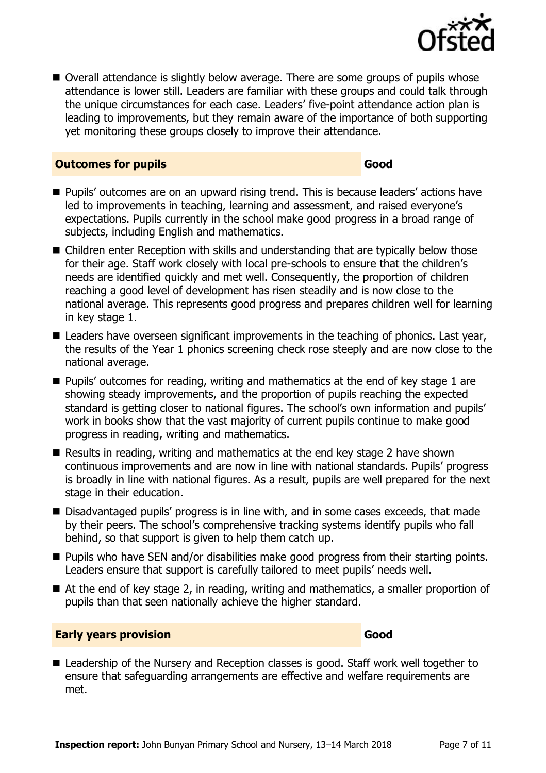

■ Overall attendance is slightly below average. There are some groups of pupils whose attendance is lower still. Leaders are familiar with these groups and could talk through the unique circumstances for each case. Leaders' five-point attendance action plan is leading to improvements, but they remain aware of the importance of both supporting yet monitoring these groups closely to improve their attendance.

#### **Outcomes for pupils Good**

- **Pupils'** outcomes are on an upward rising trend. This is because leaders' actions have led to improvements in teaching, learning and assessment, and raised everyone's expectations. Pupils currently in the school make good progress in a broad range of subjects, including English and mathematics.
- Children enter Reception with skills and understanding that are typically below those for their age. Staff work closely with local pre-schools to ensure that the children's needs are identified quickly and met well. Consequently, the proportion of children reaching a good level of development has risen steadily and is now close to the national average. This represents good progress and prepares children well for learning in key stage 1.
- Leaders have overseen significant improvements in the teaching of phonics. Last year, the results of the Year 1 phonics screening check rose steeply and are now close to the national average.
- **Pupils' outcomes for reading, writing and mathematics at the end of key stage 1 are** showing steady improvements, and the proportion of pupils reaching the expected standard is getting closer to national figures. The school's own information and pupils' work in books show that the vast majority of current pupils continue to make good progress in reading, writing and mathematics.
- Results in reading, writing and mathematics at the end key stage 2 have shown continuous improvements and are now in line with national standards. Pupils' progress is broadly in line with national figures. As a result, pupils are well prepared for the next stage in their education.
- Disadvantaged pupils' progress is in line with, and in some cases exceeds, that made by their peers. The school's comprehensive tracking systems identify pupils who fall behind, so that support is given to help them catch up.
- **Pupils who have SEN and/or disabilities make good progress from their starting points.** Leaders ensure that support is carefully tailored to meet pupils' needs well.
- At the end of key stage 2, in reading, writing and mathematics, a smaller proportion of pupils than that seen nationally achieve the higher standard.

#### **Early years provision Good Good**

■ Leadership of the Nursery and Reception classes is good. Staff work well together to ensure that safeguarding arrangements are effective and welfare requirements are met.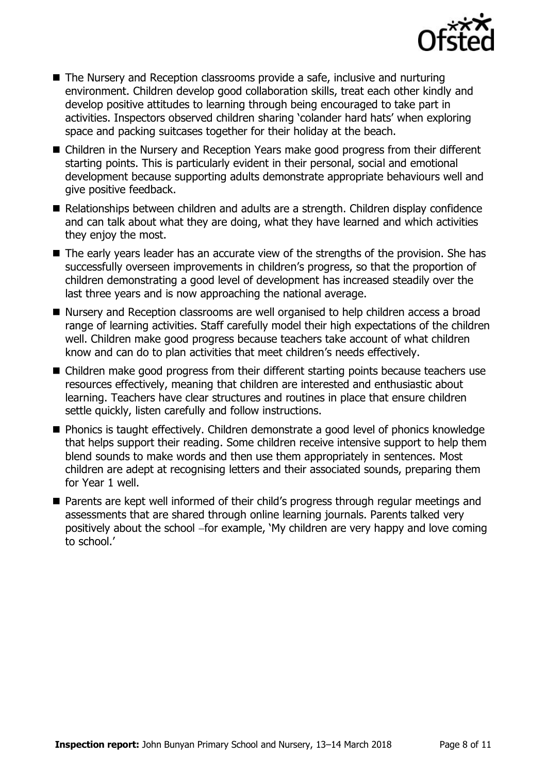

- The Nursery and Reception classrooms provide a safe, inclusive and nurturing environment. Children develop good collaboration skills, treat each other kindly and develop positive attitudes to learning through being encouraged to take part in activities. Inspectors observed children sharing 'colander hard hats' when exploring space and packing suitcases together for their holiday at the beach.
- Children in the Nursery and Reception Years make good progress from their different starting points. This is particularly evident in their personal, social and emotional development because supporting adults demonstrate appropriate behaviours well and give positive feedback.
- Relationships between children and adults are a strength. Children display confidence and can talk about what they are doing, what they have learned and which activities they enjoy the most.
- The early years leader has an accurate view of the strengths of the provision. She has successfully overseen improvements in children's progress, so that the proportion of children demonstrating a good level of development has increased steadily over the last three years and is now approaching the national average.
- Nursery and Reception classrooms are well organised to help children access a broad range of learning activities. Staff carefully model their high expectations of the children well. Children make good progress because teachers take account of what children know and can do to plan activities that meet children's needs effectively.
- Children make good progress from their different starting points because teachers use resources effectively, meaning that children are interested and enthusiastic about learning. Teachers have clear structures and routines in place that ensure children settle quickly, listen carefully and follow instructions.
- Phonics is taught effectively. Children demonstrate a good level of phonics knowledge that helps support their reading. Some children receive intensive support to help them blend sounds to make words and then use them appropriately in sentences. Most children are adept at recognising letters and their associated sounds, preparing them for Year 1 well.
- Parents are kept well informed of their child's progress through regular meetings and assessments that are shared through online learning journals. Parents talked very positively about the school -for example, 'My children are very happy and love coming to school.'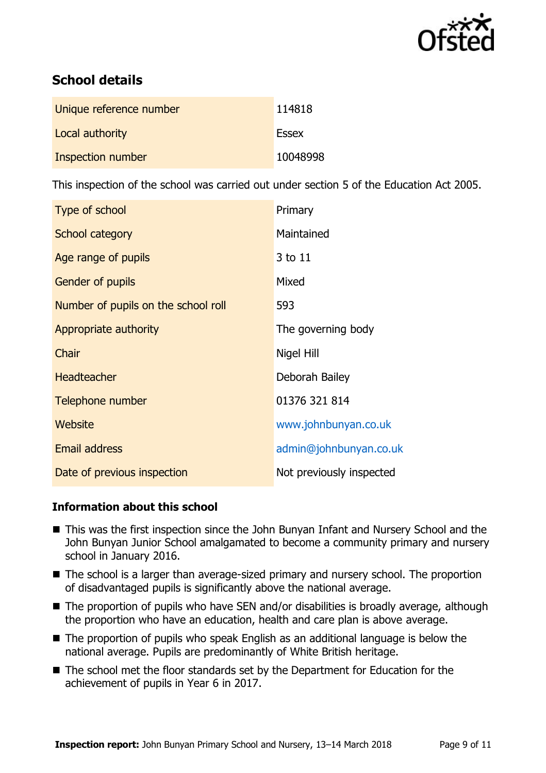

# **School details**

| Unique reference number | 114818       |
|-------------------------|--------------|
| Local authority         | <b>Essex</b> |
| Inspection number       | 10048998     |

This inspection of the school was carried out under section 5 of the Education Act 2005.

| <b>Type of school</b>               | Primary                  |
|-------------------------------------|--------------------------|
| School category                     | Maintained               |
| Age range of pupils                 | 3 to 11                  |
| <b>Gender of pupils</b>             | Mixed                    |
| Number of pupils on the school roll | 593                      |
| Appropriate authority               | The governing body       |
| Chair                               | Nigel Hill               |
| <b>Headteacher</b>                  | Deborah Bailey           |
| Telephone number                    | 01376 321 814            |
| Website                             | www.johnbunyan.co.uk     |
| <b>Email address</b>                | admin@johnbunyan.co.uk   |
| Date of previous inspection         | Not previously inspected |

### **Information about this school**

- This was the first inspection since the John Bunyan Infant and Nursery School and the John Bunyan Junior School amalgamated to become a community primary and nursery school in January 2016.
- The school is a larger than average-sized primary and nursery school. The proportion of disadvantaged pupils is significantly above the national average.
- The proportion of pupils who have SEN and/or disabilities is broadly average, although the proportion who have an education, health and care plan is above average.
- The proportion of pupils who speak English as an additional language is below the national average. Pupils are predominantly of White British heritage.
- The school met the floor standards set by the Department for Education for the achievement of pupils in Year 6 in 2017.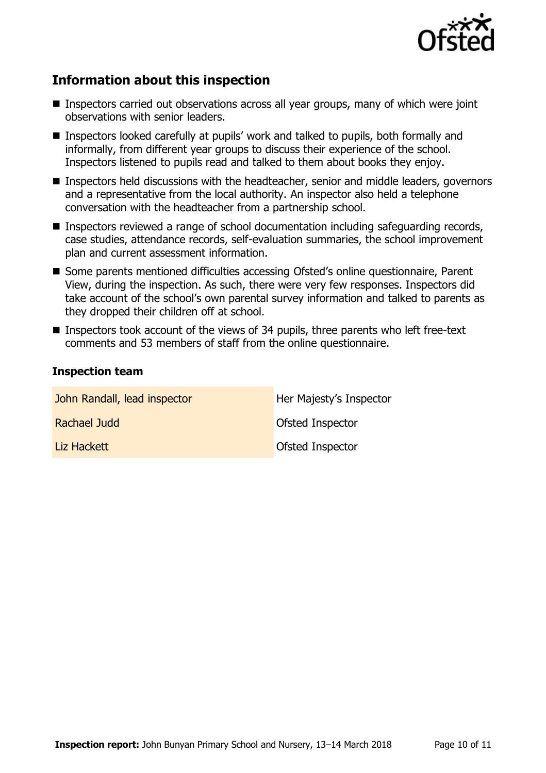

# **Information about this inspection**

- Inspectors carried out observations across all year groups, many of which were joint observations with senior leaders.
- Inspectors looked carefully at pupils' work and talked to pupils, both formally and informally, from different year groups to discuss their experience of the school. Inspectors listened to pupils read and talked to them about books they enjoy.
- Inspectors held discussions with the headteacher, senior and middle leaders, governors and a representative from the local authority. An inspector also held a telephone conversation with the headteacher from a partnership school.
- Inspectors reviewed a range of school documentation including safeguarding records, case studies, attendance records, self-evaluation summaries, the school improvement plan and current assessment information.
- Some parents mentioned difficulties accessing Ofsted's online questionnaire, Parent View, during the inspection. As such, there were very few responses. Inspectors did take account of the school's own parental survey information and talked to parents as they dropped their children off at school.
- Inspectors took account of the views of 34 pupils, three parents who left free-text comments and 53 members of staff from the online questionnaire.

#### **Inspection team**

| John Randall, lead inspector | Her Majesty's Inspector |
|------------------------------|-------------------------|
| Rachael Judd                 | Ofsted Inspector        |
| Liz Hackett                  | Ofsted Inspector        |